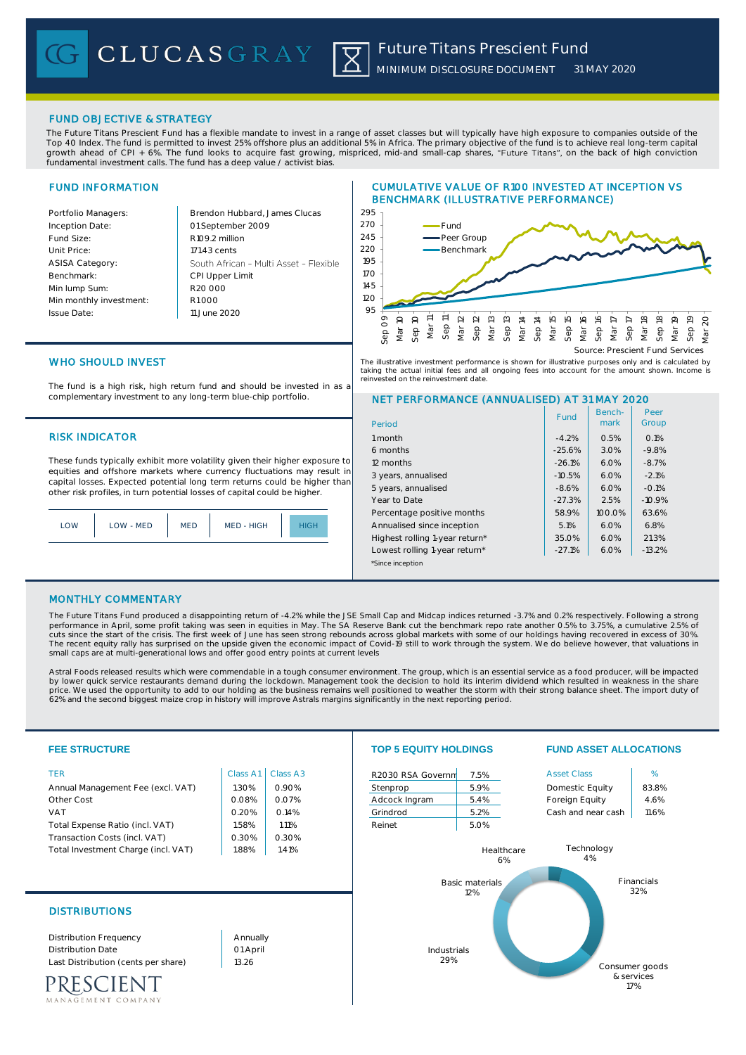## FUND OBJECTIVE & STRATEGY

The Future Titans Prescient Fund has a flexible mandate to invest in a range of asset classes but will typically have high exposure to companies outside of the Top 40 Index. The fund is permitted to invest 25% offshore plus an additional 5% in Africa. The primary objective of the fund is to achieve real long-term capital growth ahead of CPI + 6%. The fund looks to acquire fast growing, mispriced, mid-and small-cap shares, "Future Titans", on the back of high conviction fundamental investment calls. The fund has a deep value / activist bias.

## FUND INFORMATION

| Portfolio Managers:     | Brendon Hubbard, James Clucas          | 295             |
|-------------------------|----------------------------------------|-----------------|
| Inception Date:         | 01 September 2009                      | 270             |
| Fund Size:              | R109.2 million                         | 245             |
| Unit Price:             | 171.43 cents                           | 220             |
| <b>ASISA Category:</b>  | South African - Multi Asset - Flexible | 195             |
| Benchmark:              | CPI Upper Limit                        | 17 <sub>O</sub> |
| Min lump Sum:           | R <sub>20</sub> 000                    | 145             |
| Min monthly investment: | R1000                                  | 120             |
| Issue Date:             | 11 June 2020                           | 95              |
|                         |                                        |                 |

### CUMULATIVE VALUE OF R100 INVESTED AT INCEPTION VS BENCHMARK (ILLUSTRATIVE PERFORMANCE)



The illustrative investment performance is shown for illustrative purposes only and is calculated by taking the actual initial fees and all ongoing fees into account for the amount shown. Income is<br>reinvested on the reinvestment date. refer to the reinvestment date.

# WHO SHOULD INVEST

The fund is a high risk, high return fund and should be invested in as a complementary investment to any long-term blue-chip portfolio.

## **RISK INDICATOR**

These funds typically exhibit more volatility given their higher exposure to equities and offshore markets where currency fluctuations may result in capital losses. Expected potential long term returns could be higher than other risk profiles, in turn potential losses of capital could be higher.

| MED - HIGH<br>OM<br>$I$ $OM - MFD$<br>MED |  |
|-------------------------------------------|--|
|-------------------------------------------|--|

### NET PERFORMANCE (ANNUALISED) AT 31 MAY 2020

| Period                         | Fund     | Bench-<br>mark | Peer<br>Group |
|--------------------------------|----------|----------------|---------------|
| 1 month                        | $-4.2%$  | 0.5%           | 0.1%          |
| 6 months                       | $-25.6%$ | 3.0%           | $-9.8%$       |
| 12 months                      | $-26.1%$ | 6.0%           | $-8.7%$       |
| 3 years, annualised            | $-10.5%$ | 6.0%           | $-2.1%$       |
| 5 years, annualised            | $-8.6%$  | 6.0%           | $-0.1%$       |
| Year to Date                   | $-27.3%$ | 2.5%           | $-10.9%$      |
| Percentage positive months     | 58.9%    | $100.0\%$      | 63.6%         |
| Annualised since inception     | 5.1%     | 6.0%           | 6.8%          |
| Highest rolling 1-year return* | 35.0%    | 6.0%           | 21.3%         |
| Lowest rolling 1-year return*  | $-27.1%$ | 6.0%           | $-13.2%$      |
| *Since inception               |          |                |               |

## MONTHLY COMMENTARY

The Future Titans Fund produced a disappointing return of -4.2% while the JSE Small Cap and Midcap indices returned -3.7% and 0.2% respectively. Following a strong performance in April, some profit taking was seen in equities in May. The SA Reserve Bank cut the benchmark repo rate another 0.5% to 3.75%, a cumulative 2.5% of cuts since the start of the crisis. The first week of June has seen strong rebounds across global markets with some of our holdings having recovered in excess of 30%.<br>The recent equity rally has surprised on the upside giv small caps are at multi-generational lows and offer good entry points at current levels

Astral Foods released results which were commendable in a tough consumer environment. The group, which is an essential service as a food producer, will be impacted by lower quick service restaurants demand during the lockdown. Management took the decision to hold its interim dividend which resulted in weakness in the share price. We used the opportunity to add to our holding as the business remains well positioned to weather the storm with their strong balance sheet. The import duty of 62% and the second biggest maize crop in history will improve Astrals margins significantly in the next reporting period.

| <b>FEE STRUCTURE</b>                                                                                                                                                                   |                                                                |                                                                | <b>TOP 5 EQUITY HOLDINGS</b>                                         |                                                                                    | <b>FUND ASSET ALLOCATIONS</b>                                                                     |                                            |
|----------------------------------------------------------------------------------------------------------------------------------------------------------------------------------------|----------------------------------------------------------------|----------------------------------------------------------------|----------------------------------------------------------------------|------------------------------------------------------------------------------------|---------------------------------------------------------------------------------------------------|--------------------------------------------|
| <b>TER</b><br>Annual Management Fee (excl. VAT)<br>Other Cost<br><b>VAT</b><br>Total Expense Ratio (incl. VAT)<br>Transaction Costs (incl. VAT)<br>Total Investment Charge (incl. VAT) | Class A1<br>1.30%<br>0.08%<br>0.20%<br>1.58%<br>0.30%<br>1.88% | Class A3<br>0.90%<br>0.07%<br>0.14%<br>1.11%<br>0.30%<br>1.41% | R2030 RSA Governm<br>Stenprop<br>Adcock Ingram<br>Grindrod<br>Reinet | 7.5%<br>5.9%<br>5.4%<br>5.2%<br>5.0%<br>Healthcare<br>6%<br><b>Basic materials</b> | <b>Asset Class</b><br>Domestic Equity<br>Foreign Equity<br>Cash and near cash<br>Technology<br>4% | %<br>83.8%<br>4.6%<br>11.6%<br>Financials  |
| <b>DISTRIBUTIONS</b><br><b>Distribution Frequency</b><br><b>Distribution Date</b><br>Last Distribution (cents per share)<br>CIENT<br>MANAGEMENT COMPANY                                | Annually<br>01 April<br>13.26                                  |                                                                | Industrials<br>29%                                                   | 12%                                                                                |                                                                                                   | 32%<br>Consumer goods<br>& services<br>17% |